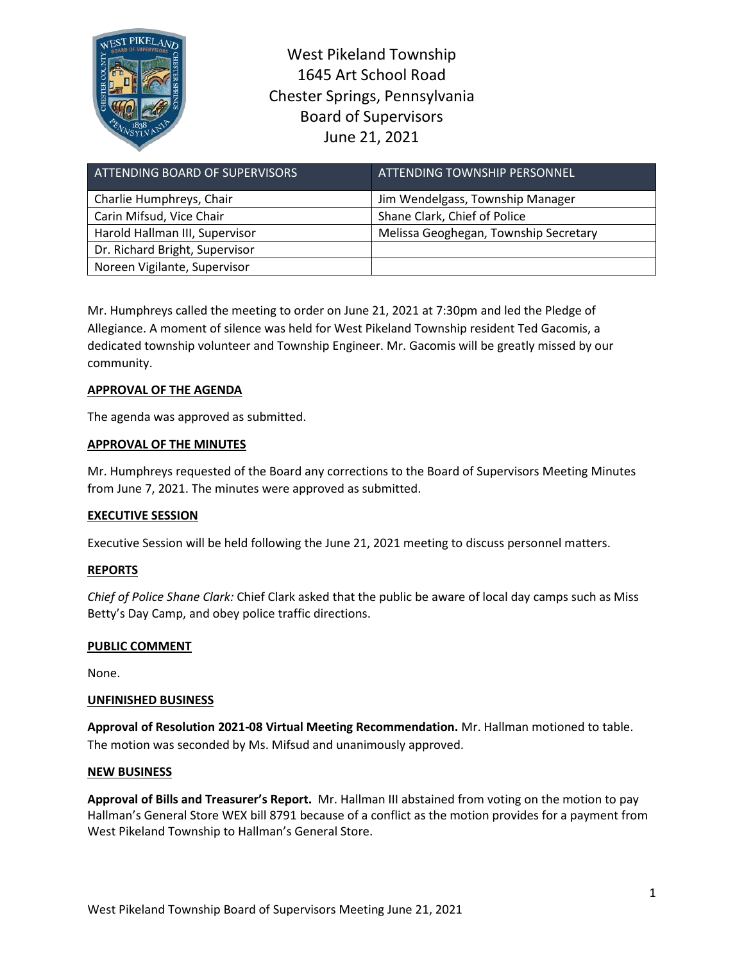

West Pikeland Township 1645 Art School Road Chester Springs, Pennsylvania Board of Supervisors June 21, 2021

| ATTENDING BOARD OF SUPERVISORS | <b>ATTENDING TOWNSHIP PERSONNEL</b>   |
|--------------------------------|---------------------------------------|
| Charlie Humphreys, Chair       | Jim Wendelgass, Township Manager      |
| Carin Mifsud, Vice Chair       | Shane Clark, Chief of Police          |
| Harold Hallman III, Supervisor | Melissa Geoghegan, Township Secretary |
| Dr. Richard Bright, Supervisor |                                       |
| Noreen Vigilante, Supervisor   |                                       |

Mr. Humphreys called the meeting to order on June 21, 2021 at 7:30pm and led the Pledge of Allegiance. A moment of silence was held for West Pikeland Township resident Ted Gacomis, a dedicated township volunteer and Township Engineer. Mr. Gacomis will be greatly missed by our community.

## **APPROVAL OF THE AGENDA**

The agenda was approved as submitted.

## **APPROVAL OF THE MINUTES**

Mr. Humphreys requested of the Board any corrections to the Board of Supervisors Meeting Minutes from June 7, 2021. The minutes were approved as submitted.

## **EXECUTIVE SESSION**

Executive Session will be held following the June 21, 2021 meeting to discuss personnel matters.

## **REPORTS**

*Chief of Police Shane Clark:* Chief Clark asked that the public be aware of local day camps such as Miss Betty's Day Camp, and obey police traffic directions.

## **PUBLIC COMMENT**

None.

## **UNFINISHED BUSINESS**

**Approval of Resolution 2021-08 Virtual Meeting Recommendation.** Mr. Hallman motioned to table. The motion was seconded by Ms. Mifsud and unanimously approved.

## **NEW BUSINESS**

**Approval of Bills and Treasurer's Report.** Mr. Hallman III abstained from voting on the motion to pay Hallman's General Store WEX bill 8791 because of a conflict as the motion provides for a payment from West Pikeland Township to Hallman's General Store.